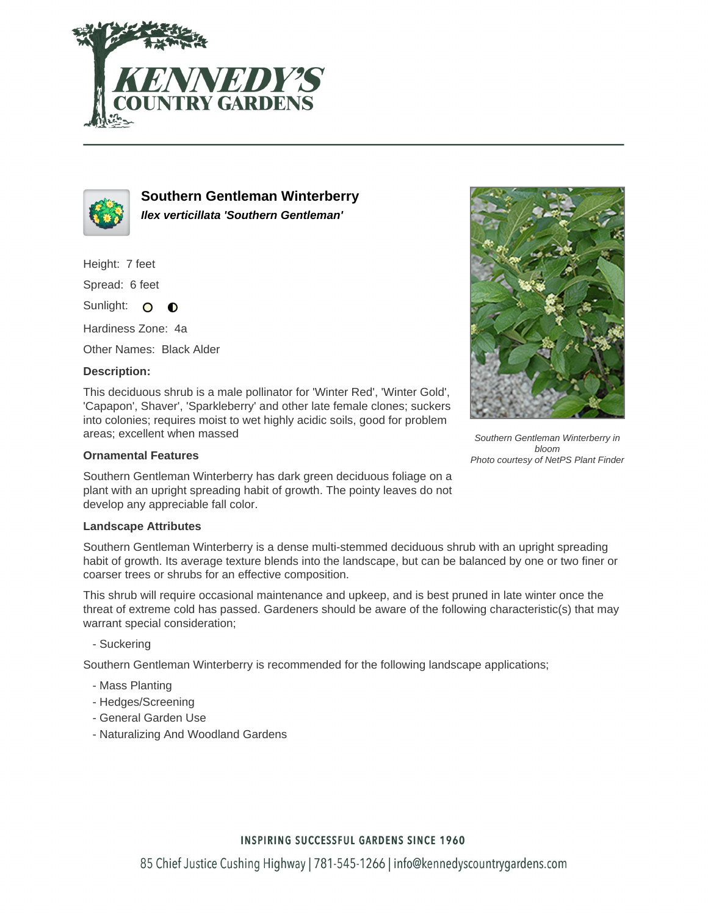



**Southern Gentleman Winterberry Ilex verticillata 'Southern Gentleman'**

Height: 7 feet

Spread: 6 feet

Sunlight: O  $\bullet$ 

Hardiness Zone: 4a

Other Names: Black Alder

## **Description:**

This deciduous shrub is a male pollinator for 'Winter Red', 'Winter Gold', 'Capapon', Shaver', 'Sparkleberry' and other late female clones; suckers into colonies; requires moist to wet highly acidic soils, good for problem areas; excellent when massed

## **Ornamental Features**

Southern Gentleman Winterberry has dark green deciduous foliage on a plant with an upright spreading habit of growth. The pointy leaves do not develop any appreciable fall color.

#### **Landscape Attributes**

Southern Gentleman Winterberry is a dense multi-stemmed deciduous shrub with an upright spreading habit of growth. Its average texture blends into the landscape, but can be balanced by one or two finer or coarser trees or shrubs for an effective composition.

This shrub will require occasional maintenance and upkeep, and is best pruned in late winter once the threat of extreme cold has passed. Gardeners should be aware of the following characteristic(s) that may warrant special consideration;

- Suckering

Southern Gentleman Winterberry is recommended for the following landscape applications;

- Mass Planting
- Hedges/Screening
- General Garden Use
- Naturalizing And Woodland Gardens



Southern Gentleman Winterberry in bloom Photo courtesy of NetPS Plant Finder

## **INSPIRING SUCCESSFUL GARDENS SINCE 1960**

85 Chief Justice Cushing Highway | 781-545-1266 | info@kennedyscountrygardens.com